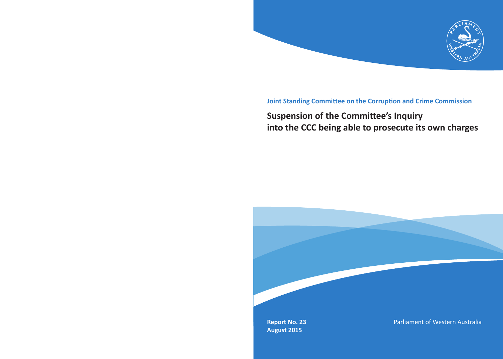

### **Joint Standing Committee on the Corruption and Crime Commission**

## **Suspension of the Committee's Inquiry into the CCC being able to prosecute its own charges**

**Report No. 23 August 2015**

Parliament of Western Australia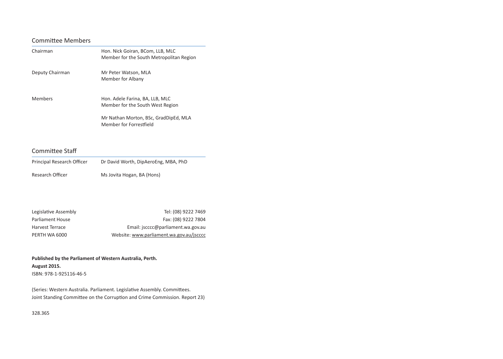### Committee Members

| Chairman        | Hon. Nick Goiran, BCom, LLB, MLC<br>Member for the South Metropolitan Region |
|-----------------|------------------------------------------------------------------------------|
| Deputy Chairman | Mr Peter Watson, MLA<br>Member for Albany                                    |
| Members         | Hon. Adele Farina, BA, LLB, MLC<br>Member for the South West Region          |
|                 | Mr Nathan Morton, BSc, GradDipEd, MLA<br>Member for Forrestfield             |

### Committee Staff

| Principal Research Officer | Dr David Worth, DipAeroEng, MBA, PhD |
|----------------------------|--------------------------------------|
| Research Officer           | Ms Jovita Hogan, BA (Hons)           |

| Legislative Assembly | Tel: (08) 9222 7469                      |
|----------------------|------------------------------------------|
| Parliament House     | Fax: (08) 9222 7804                      |
| Harvest Terrace      | Email: jscccc@parliament.wa.gov.au       |
| PERTH WA 6000        | Website: www.parliament.wa.gov.au/jscccc |

**Published by the Parliament of Western Australia, Perth. August 2015.** ISBN: 978-1-925116-46-5

(Series: Western Australia. Parliament. Legislative Assembly. Committees. Joint Standing Committee on the Corruption and Crime Commission. Report 23)

328.365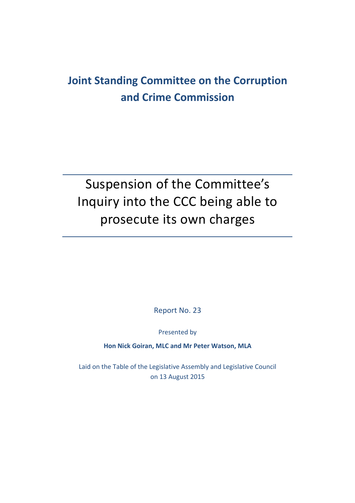# **Joint Standing Committee on the Corruption and Crime Commission**

# Suspension of the Committee's Inquiry into the CCC being able to prosecute its own charges

Report No. 23

Presented by

**Hon Nick Goiran, MLC and Mr Peter Watson, MLA**

Laid on the Table of the Legislative Assembly and Legislative Council on 13 August 2015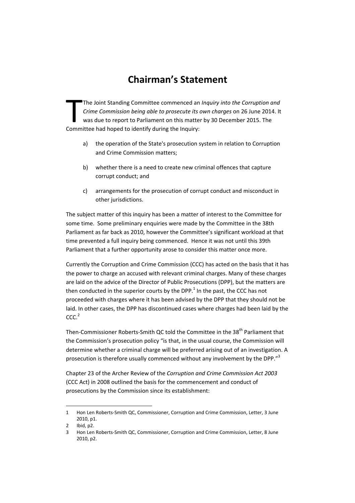## **Chairman's Statement**

The Joint Standing Committee commenced an *Inquiry into the Corruption and Crime Commission being able to prosecute its own charges* on 26 June 2014. It was due to report to Parliament on this matter by 30 December 2015. The The Joint Standing Committee commenced an<br>
Crime Commission being able to prosecute its<br>
was due to report to Parliament on this matte<br>
Committee had hoped to identify during the Inquiry:

- a) the operation of the State's prosecution system in relation to Corruption and Crime Commission matters;
- b) whether there is a need to create new criminal offences that capture corrupt conduct; and
- c) arrangements for the prosecution of corrupt conduct and misconduct in other jurisdictions.

The subject matter of this inquiry has been a matter of interest to the Committee for some time. Some preliminary enquiries were made by the Committee in the 38th Parliament as far back as 2010, however the Committee's significant workload at that time prevented a full inquiry being commenced. Hence it was not until this 39th Parliament that a further opportunity arose to consider this matter once more.

Currently the Corruption and Crime Commission (CCC) has acted on the basis that it has the power to charge an accused with relevant criminal charges. Many of these charges are laid on the advice of the Director of Public Prosecutions (DPP), but the matters are then conducted in the superior courts by the DPP. $<sup>1</sup>$  In the past, the CCC has not</sup> proceeded with charges where it has been advised by the DPP that they should not be laid. In other cases, the DPP has discontinued cases where charges had been laid by the  $CC<sup>2</sup>$ 

Then-Commissioner Roberts-Smith QC told the Committee in the 38<sup>th</sup> Parliament that the Commission's prosecution policy "is that, in the usual course, the Commission will determine whether a criminal charge will be preferred arising out of an investigation. A prosecution is therefore usually commenced without any involvement by the DPP."<sup>3</sup>

Chapter 23 of the Archer Review of the *Corruption and Crime Commission Act 2003* (CCC Act) in 2008 outlined the basis for the commencement and conduct of prosecutions by the Commission since its establishment:

<sup>1</sup> Hon Len Roberts-Smith QC, Commissioner, Corruption and Crime Commission, Letter, 3 June 2010, p1.

<sup>2</sup> Ibid, p2.

<sup>3</sup> Hon Len Roberts‐Smith QC, Commissioner, Corruption and Crime Commission, Letter, 8 June 2010, p2.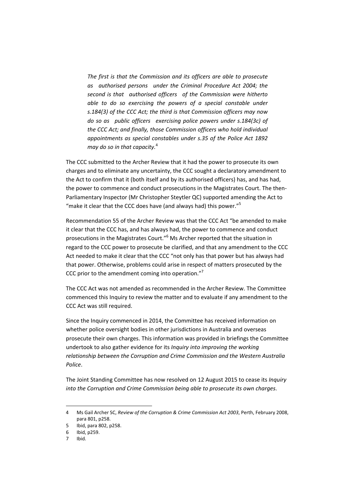*The first is that the Commission and its officers are able to prosecute as authorised persons under the Criminal Procedure Act 2004; the second is that authorised officers of the Commission were hitherto able to do so exercising the powers of a special constable under s.184(3) of the CCC Act; the third is that Commission officers may now do so as public officers exercising police powers under s.184(3c) of the CCC Act; and finally, those Commission officers who hold individual appointments as special constables under s.35 of the Police Act 1892 may do so in that capacity.*<sup>4</sup>

The CCC submitted to the Archer Review that it had the power to prosecute its own charges and to eliminate any uncertainty, the CCC sought a declaratory amendment to the Act to confirm that it (both itself and by its authorised officers) has, and has had, the power to commence and conduct prosecutions in the Magistrates Court. The then‐ Parliamentary Inspector (Mr Christopher Steytler QC) supported amending the Act to "make it clear that the CCC does have (and always had) this power."<sup>5</sup>

Recommendation 55 of the Archer Review was that the CCC Act "be amended to make it clear that the CCC has, and has always had, the power to commence and conduct prosecutions in the Magistrates Court."6 Ms Archer reported that the situation in regard to the CCC power to prosecute be clarified, and that any amendment to the CCC Act needed to make it clear that the CCC "not only has that power but has always had that power. Otherwise, problems could arise in respect of matters prosecuted by the CCC prior to the amendment coming into operation."<sup>7</sup>

The CCC Act was not amended as recommended in the Archer Review. The Committee commenced this Inquiry to review the matter and to evaluate if any amendment to the CCC Act was still required.

Since the Inquiry commenced in 2014, the Committee has received information on whether police oversight bodies in other jurisdictions in Australia and overseas prosecute their own charges. This information was provided in briefings the Committee undertook to also gather evidence for its *Inquiry into improving the working relationship between the Corruption and Crime Commission and the Western Australia Police*.

The Joint Standing Committee has now resolved on 12 August 2015 to cease its *Inquiry into the Corruption and Crime Commission being able to prosecute its own charges*.

<sup>4</sup> Ms Gail Archer SC, *Review of the Corruption & Crime Commission Act 2003*, Perth, February 2008, para 801, p258.

<sup>5</sup> Ibid, para 802, p258.

<sup>6</sup> Ibid, p259.

<sup>7</sup> Ibid.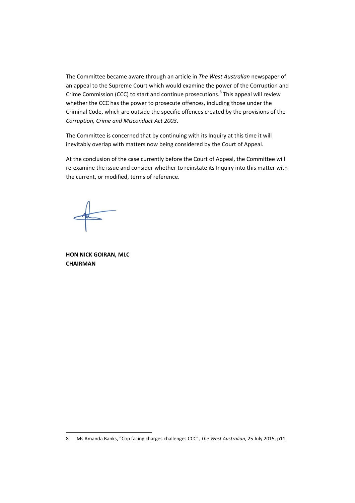The Committee became aware through an article in *The West Australian* newspaper of an appeal to the Supreme Court which would examine the power of the Corruption and Crime Commission (CCC) to start and continue prosecutions. $8$  This appeal will review whether the CCC has the power to prosecute offences, including those under the Criminal Code, which are outside the specific offences created by the provisions of the *Corruption, Crime and Misconduct Act 2003*.

The Committee is concerned that by continuing with its Inquiry at this time it will inevitably overlap with matters now being considered by the Court of Appeal.

At the conclusion of the case currently before the Court of Appeal, the Committee will re-examine the issue and consider whether to reinstate its Inquiry into this matter with the current, or modified, terms of reference.

**HON NICK GOIRAN, MLC CHAIRMAN**

<sup>8</sup> Ms Amanda Banks, "Cop facing charges challenges CCC", *The West Australian*, 25 July 2015, p11.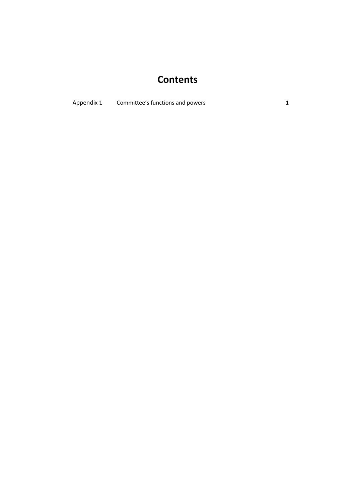## **Contents**

Appendix 1 Committee's functions and powers 1